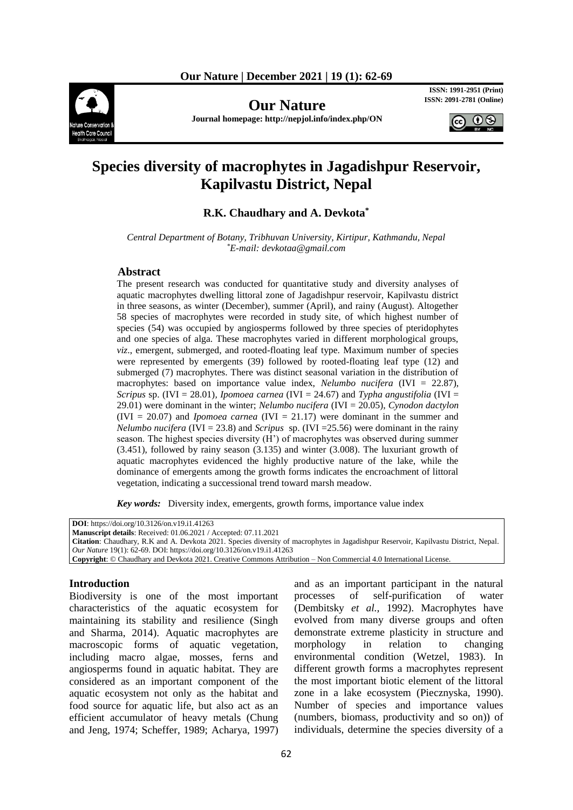

**Our Nature** 

**Journal homepage: http://nepjol.info/index.php/ON**

**ISSN: 1991-2951 (Print)**<br>**ISSN: 2091-2781 (Online)** 



# **Species diversity of macrophytes in Jagadishpur Reservoir, Kapilvastu District, Nepal**

## **R.K. Chaudhary and A. Devkota\***

*Central Department of Botany, Tribhuvan University, Kirtipur, Kathmandu, Nepal \*E-mail: devkotaa@gmail.com*

#### **Abstract**

The present research was conducted for quantitative study and diversity analyses of aquatic macrophytes dwelling littoral zone of Jagadishpur reservoir, Kapilvastu district in three seasons, as winter (December), summer (April), and rainy (August). Altogether 58 species of macrophytes were recorded in study site, of which highest number of species (54) was occupied by angiosperms followed by three species of pteridophytes and one species of alga. These macrophytes varied in different morphological groups, *viz*., emergent, submerged, and rooted-floating leaf type. Maximum number of species were represented by emergents (39) followed by rooted-floating leaf type (12) and submerged (7) macrophytes. There was distinct seasonal variation in the distribution of macrophytes: based on importance value index, *Nelumbo nucifera* (IVI = 22.87), *Scripus* sp. (IVI = 28.01)*, Ipomoea carnea* (IVI = 24.67) and *Typha angustifolia* (IVI = 29.01) were dominant in the winter; *Nelumbo nucifera* (IVI = 20.05), *Cynodon dactylon*   $(IVI = 20.07)$  and *Ipomoea carnea*  $(IVI = 21.17)$  were dominant in the summer and *Nelumbo nucifera* (IVI = 23.8) and *Scripus* sp. (IVI = 25.56) were dominant in the rainy season. The highest species diversity (H') of macrophytes was observed during summer (3.451), followed by rainy season (3.135) and winter (3.008). The luxuriant growth of aquatic macrophytes evidenced the highly productive nature of the lake, while the dominance of emergents among the growth forms indicates the encroachment of littoral vegetation, indicating a successional trend toward marsh meadow.

*Key words:* Diversity index, emergents, growth forms, importance value index

| <b>DOI</b> : https://doi.org/10.3126/on.v19.i1.41263                                                                                 |
|--------------------------------------------------------------------------------------------------------------------------------------|
| <b>Manuscript details:</b> Received: 01.06.2021 / Accepted: 07.11.2021                                                               |
| Citation: Chaudhary, R.K and A. Devkota 2021. Species diversity of macrophytes in Jagadishpur Reservoir, Kapilvastu District, Nepal. |
| <i>Our Nature</i> 19(1): 62-69. DOI: https://doi.org/10.3126/on.v19.i1.41263                                                         |
| <b>Copyright:</b> © Chaudhary and Devkota 2021. Creative Commons Attribution – Non Commercial 4.0 International License.             |
|                                                                                                                                      |

#### **Introduction**

Biodiversity is one of the most important characteristics of the aquatic ecosystem for maintaining its stability and resilience (Singh and Sharma, 2014). Aquatic macrophytes are macroscopic forms of aquatic vegetation, including macro algae, mosses, ferns and angiosperms found in aquatic habitat. They are considered as an important component of the aquatic ecosystem not only as the habitat and food source for aquatic life, but also act as an efficient accumulator of heavy metals (Chung and Jeng, 1974; Scheffer, 1989; Acharya, 1997)

and as an important participant in the natural processes of self-purification of water (Dembitsky *et al.,* 1992). Macrophytes have evolved from many diverse groups and often demonstrate extreme plasticity in structure and morphology in relation to changing environmental condition (Wetzel, 1983). In different growth forms a macrophytes represent the most important biotic element of the littoral zone in a lake ecosystem (Piecznyska, 1990). Number of species and importance values (numbers, biomass, productivity and so on)) of individuals, determine the species diversity of a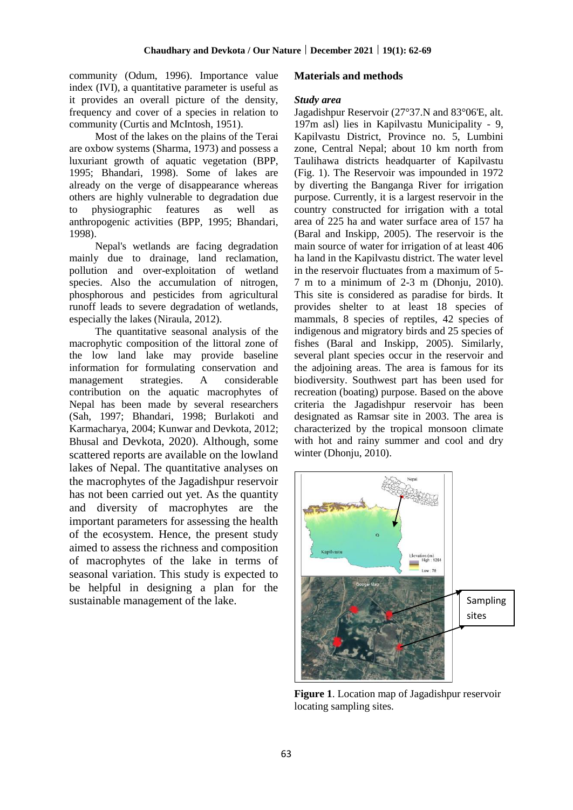community (Odum, 1996). Importance value index (IVI), a quantitative parameter is useful as it provides an overall picture of the density, frequency and cover of a species in relation to community (Curtis and McIntosh, 1951).

Most of the lakes on the plains of the Terai are oxbow systems (Sharma, 1973) and possess a luxuriant growth of aquatic vegetation (BPP, 1995; Bhandari, 1998). Some of lakes are already on the verge of disappearance whereas others are highly vulnerable to degradation due to physiographic features as well as anthropogenic activities (BPP, 1995; Bhandari, 1998).

Nepal's wetlands are facing degradation mainly due to drainage, land reclamation, pollution and over-exploitation of wetland species. Also the accumulation of nitrogen, phosphorous and pesticides from agricultural runoff leads to severe degradation of wetlands, especially the lakes (Niraula, 2012).

The quantitative seasonal analysis of the macrophytic composition of the littoral zone of the low land lake may provide baseline information for formulating conservation and management strategies. A considerable contribution on the aquatic macrophytes of Nepal has been made by several researchers (Sah, 1997; Bhandari, 1998; Burlakoti and Karmacharya, 2004; Kunwar and Devkota, 2012; Bhusal and Devkota, 2020). Although, some scattered reports are available on the lowland lakes of Nepal. The quantitative analyses on the macrophytes of the Jagadishpur reservoir has not been carried out yet. As the quantity and diversity of macrophytes are the important parameters for assessing the health of the ecosystem. Hence, the present study aimed to assess the richness and composition of macrophytes of the lake in terms of seasonal variation. This study is expected to be helpful in designing a plan for the sustainable management of the lake.

#### **Materials and methods**

#### *Study area*

Jagadishpur Reservoir (27°37.N and 83°06'E, alt. 197m asl) lies in Kapilvastu Municipality - 9, Kapilvastu District, Province no. 5, Lumbini zone, Central Nepal; about 10 km north from Taulihawa districts headquarter of Kapilvastu (Fig. 1). The Reservoir was impounded in 1972 by diverting the Banganga River for irrigation purpose. Currently, it is a largest reservoir in the country constructed for irrigation with a total area of 225 ha and water surface area of 157 ha (Baral and Inskipp, 2005). The reservoir is the main source of water for irrigation of at least 406 ha land in the Kapilvastu district. The water level in the reservoir fluctuates from a maximum of 5- 7 m to a minimum of 2-3 m (Dhonju, 2010). This site is considered as paradise for birds. It provides shelter to at least 18 species of mammals, 8 species of reptiles, 42 species of indigenous and migratory birds and 25 species of fishes (Baral and Inskipp, 2005). Similarly, several plant species occur in the reservoir and the adjoining areas. The area is famous for its biodiversity. Southwest part has been used for recreation (boating) purpose. Based on the above criteria the Jagadishpur reservoir has been designated as Ramsar site in 2003. The area is characterized by the tropical monsoon climate with hot and rainy summer and cool and dry winter (Dhonju, 2010).



**Figure 1**. Location map of Jagadishpur reservoir locating sampling sites.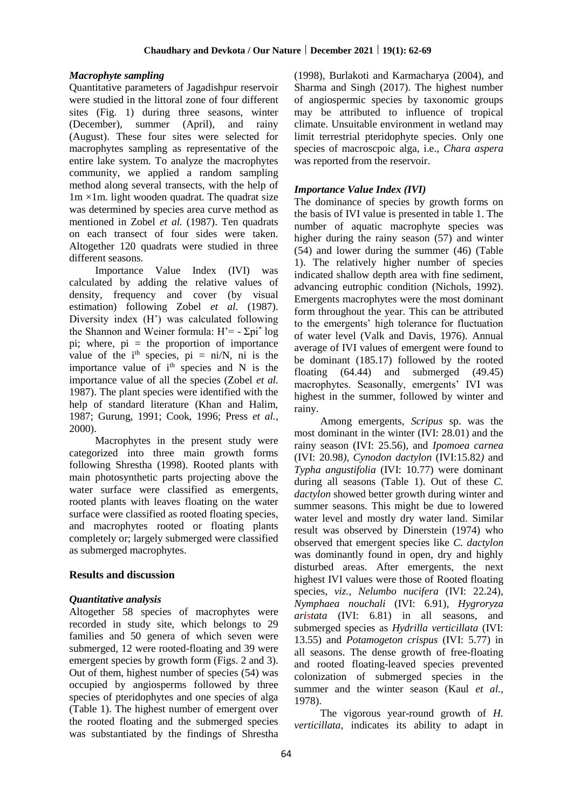## *Macrophyte sampling*

Quantitative parameters of Jagadishpur reservoir were studied in the littoral zone of four different sites (Fig. 1) during three seasons, winter (December), summer (April), and rainy (August). These four sites were selected for macrophytes sampling as representative of the entire lake system. To analyze the macrophytes community, we applied a random sampling method along several transects, with the help of  $1m \times 1m$ . light wooden quadrat. The quadrat size was determined by species area curve method as mentioned in Zobel *et al.* (1987). Ten quadrats on each transect of four sides were taken. Altogether 120 quadrats were studied in three different seasons.

Importance Value Index (IVI) was calculated by adding the relative values of density, frequency and cover (by visual estimation) following Zobel *et al.* (1987). Diversity index (H') was calculated following the Shannon and Weiner formula:  $H' = -\Sigma p i^* \log n$ pi; where,  $pi =$  the proportion of importance value of the  $i<sup>th</sup>$  species,  $pi = ni/N$ ,  $ni$  is the importance value of i<sup>th</sup> species and N is the importance value of all the species (Zobel *et al.* 1987). The plant species were identified with the help of standard literature (Khan and Halim, 1987; Gurung, 1991; Cook, 1996; Press *et al.,* 2000).

Macrophytes in the present study were categorized into three main growth forms following Shrestha (1998). Rooted plants with main photosynthetic parts projecting above the water surface were classified as emergents, rooted plants with leaves floating on the water surface were classified as rooted floating species, and macrophytes rooted or floating plants completely or; largely submerged were classified as submerged macrophytes.

# **Results and discussion**

### *Quantitative analysis*

Altogether 58 species of macrophytes were recorded in study site, which belongs to 29 families and 50 genera of which seven were submerged, 12 were rooted-floating and 39 were emergent species by growth form (Figs. 2 and 3). Out of them, highest number of species (54) was occupied by angiosperms followed by three species of pteridophytes and one species of alga (Table 1). The highest number of emergent over the rooted floating and the submerged species was substantiated by the findings of Shrestha (1998), Burlakoti and Karmacharya (2004), and Sharma and Singh (2017). The highest number of angiospermic species by taxonomic groups may be attributed to influence of tropical climate. Unsuitable environment in wetland may limit terrestrial pteridophyte species. Only one species of macroscpoic alga, i.e., *Chara aspera* was reported from the reservoir.

# *Importance Value Index (IVI)*

The dominance of species by growth forms on the basis of IVI value is presented in table 1. The number of aquatic macrophyte species was higher during the rainy season (57) and winter (54) and lower during the summer (46) (Table 1). The relatively higher number of species indicated shallow depth area with fine sediment, advancing eutrophic condition (Nichols, 1992). Emergents macrophytes were the most dominant form throughout the year. This can be attributed to the emergents' high tolerance for fluctuation of water level (Valk and Davis, 1976). Annual average of IVI values of emergent were found to be dominant (185.17) followed by the rooted floating (64.44) and submerged (49.45) macrophytes. Seasonally, emergents' IVI was highest in the summer, followed by winter and rainy.

Among emergents, *Scripus* sp. was the most dominant in the winter (IVI: 28.01) and the rainy season (IVI: 25.56), and *Ipomoea carnea* (IVI: 20.98*), Cynodon dactylon* (IVI:15.82*)* and *Typha angustifolia* (IVI: 10.77) were dominant during all seasons (Table 1). Out of these *C. dactylon* showed better growth during winter and summer seasons. This might be due to lowered water level and mostly dry water land. Similar result was observed by Dinerstein (1974) who observed that emergent species like *C. dactylon* was dominantly found in open, dry and highly disturbed areas. After emergents, the next highest IVI values were those of Rooted floating species, *viz.*, *Nelumbo nucifera* (IVI: 22.24), *Nymphaea nouchali* (IVI: 6.91)*, Hygroryza aristata* (IVI: 6.81) in all seasons, and submerged species as *Hydrilla verticillata* (IVI: 13.55) and *Potamogeton crispus* (IVI: 5.77) in all seasons. The dense growth of free-floating and rooted floating-leaved species prevented colonization of submerged species in the summer and the winter season (Kaul *et al.,* 1978).

The vigorous year-round growth of *H. verticillata,* indicates its ability to adapt in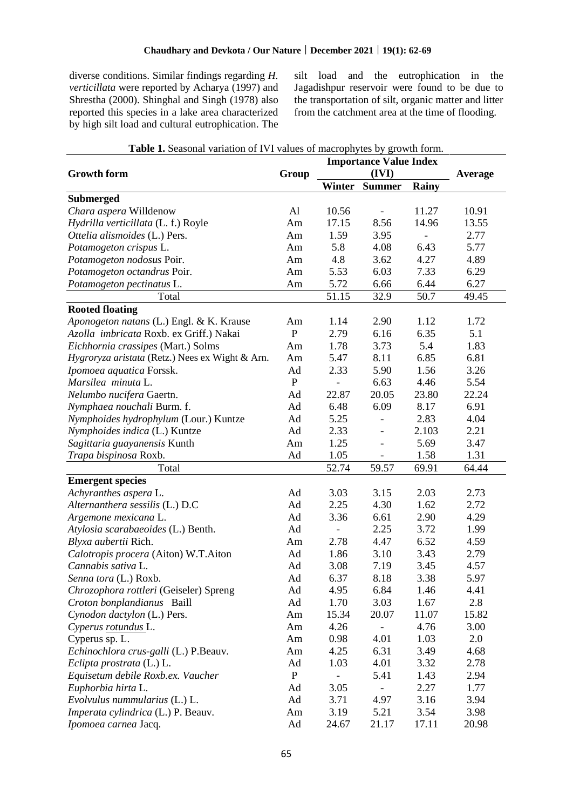diverse conditions. Similar findings regarding *H. verticillata* were reported by Acharya (1997) and Shrestha (2000). Shinghal and Singh (1978) also reported this species in a lake area characterized by high silt load and cultural eutrophication. The silt load and the eutrophication in the Jagadishpur reservoir were found to be due to the transportation of silt, organic matter and litter from the catchment area at the time of flooding.

| <b>Table 1.</b> Seasonal valiation of IVI values of macrophytes by growth form. |             | <b>Importance Value Index</b> |                        |       |       |
|---------------------------------------------------------------------------------|-------------|-------------------------------|------------------------|-------|-------|
| <b>Growth form</b>                                                              | Group       |                               | Average                |       |       |
|                                                                                 |             | Winter                        | (IVI)<br><b>Summer</b> | Rainy |       |
| <b>Submerged</b>                                                                |             |                               |                        |       |       |
| Chara aspera Willdenow                                                          | Al          | 10.56                         |                        | 11.27 | 10.91 |
| Hydrilla verticillata (L. f.) Royle                                             | Am          | 17.15                         | 8.56                   | 14.96 | 13.55 |
| Ottelia alismoides (L.) Pers.                                                   | Am          | 1.59                          | 3.95                   |       | 2.77  |
| Potamogeton crispus L.                                                          | Am          | 5.8                           | 4.08                   | 6.43  | 5.77  |
| Potamogeton nodosus Poir.                                                       | Am          | 4.8                           | 3.62                   | 4.27  | 4.89  |
| Potamogeton octandrus Poir.                                                     | Am          | 5.53                          | 6.03                   | 7.33  | 6.29  |
| Potamogeton pectinatus L.                                                       | Am          | 5.72                          | 6.66                   | 6.44  | 6.27  |
| Total                                                                           |             | 51.15                         | 32.9                   | 50.7  | 49.45 |
| <b>Rooted floating</b>                                                          |             |                               |                        |       |       |
| Aponogeton natans (L.) Engl. & K. Krause                                        | Am          | 1.14                          | 2.90                   | 1.12  | 1.72  |
| Azolla imbricata Roxb. ex Griff.) Nakai                                         | ${\bf P}$   | 2.79                          | 6.16                   | 6.35  | 5.1   |
| Eichhornia crassipes (Mart.) Solms                                              | Am          | 1.78                          | 3.73                   | 5.4   | 1.83  |
| Hygroryza aristata (Retz.) Nees ex Wight & Arn.                                 | Am          | 5.47                          | 8.11                   | 6.85  | 6.81  |
| Ipomoea aquatica Forssk.                                                        | Ad          | 2.33                          | 5.90                   | 1.56  | 3.26  |
| Marsilea minuta L.                                                              | $\mathbf P$ |                               | 6.63                   | 4.46  | 5.54  |
| Nelumbo nucifera Gaertn.                                                        | Ad          | 22.87                         | 20.05                  | 23.80 | 22.24 |
|                                                                                 | Ad          | 6.48                          | 6.09                   | 8.17  | 6.91  |
| Nymphaea nouchali Burm. f.                                                      |             |                               |                        |       |       |
| Nymphoides hydrophylum (Lour.) Kuntze                                           | Ad          | 5.25                          |                        | 2.83  | 4.04  |
| Nymphoides indica (L.) Kuntze                                                   | Ad          | 2.33                          |                        | 2.103 | 2.21  |
| Sagittaria guayanensis Kunth                                                    | Am          | 1.25                          |                        | 5.69  | 3.47  |
| Trapa bispinosa Roxb.                                                           | Ad          | 1.05                          |                        | 1.58  | 1.31  |
| Total                                                                           |             | 52.74                         | 59.57                  | 69.91 | 64.44 |
| <b>Emergent species</b>                                                         |             |                               |                        |       |       |
| Achyranthes aspera L.                                                           | Ad          | 3.03                          | 3.15                   | 2.03  | 2.73  |
| Alternanthera sessilis (L.) D.C                                                 | Ad          | 2.25                          | 4.30                   | 1.62  | 2.72  |
| Argemone mexicana L.                                                            | Ad          | 3.36                          | 6.61                   | 2.90  | 4.29  |
| Atylosia scarabaeoides (L.) Benth.                                              | Ad          | $\qquad \qquad \blacksquare$  | 2.25                   | 3.72  | 1.99  |
| Blyxa aubertii Rich.                                                            | Am          | 2.78                          | 4.47                   | 6.52  | 4.59  |
| Calotropis procera (Aiton) W.T.Aiton                                            | Ad          | 1.86                          | 3.10                   | 3.43  | 2.79  |
| Cannabis sativa L.                                                              | Ad          | 3.08                          | 7.19                   | 3.45  | 4.57  |
| Senna tora (L.) Roxb.                                                           | Ad          | 6.37                          | 8.18                   | 3.38  | 5.97  |
| Chrozophora rottleri (Geiseler) Spreng                                          | Ad          | 4.95                          | 6.84                   | 1.46  | 4.41  |
| Croton bonplandianus Baill                                                      | Ad          | 1.70                          | 3.03                   | 1.67  | 2.8   |
| Cynodon dactylon (L.) Pers.                                                     | Am          | 15.34                         | 20.07                  | 11.07 | 15.82 |
| Cyperus rotundus L.                                                             | Am          | 4.26                          |                        | 4.76  | 3.00  |
| Cyperus sp. L.                                                                  | Am          | 0.98                          | 4.01                   | 1.03  | 2.0   |
| Echinochlora crus-galli (L.) P.Beauv.                                           | Am          | 4.25                          | 6.31                   | 3.49  | 4.68  |
| Eclipta prostrata (L.) L.                                                       | Ad          | 1.03                          | 4.01                   | 3.32  | 2.78  |
| Equisetum debile Roxb.ex. Vaucher                                               | $\mathbf P$ |                               | 5.41                   | 1.43  | 2.94  |
| Euphorbia hirta L.                                                              | Ad          | 3.05                          |                        | 2.27  | 1.77  |
| Evolvulus nummularius (L.) L.                                                   | Ad          | 3.71                          | 4.97                   | 3.16  | 3.94  |
| Imperata cylindrica (L.) P. Beauv.                                              | Am          | 3.19                          | 5.21                   | 3.54  | 3.98  |
| Ipomoea carnea Jacq.                                                            | Ad          | 24.67                         | 21.17                  | 17.11 | 20.98 |

|  |  | Table 1. Seasonal variation of IVI values of macrophytes by growth form. |  |  |  |  |  |  |  |  |
|--|--|--------------------------------------------------------------------------|--|--|--|--|--|--|--|--|
|--|--|--------------------------------------------------------------------------|--|--|--|--|--|--|--|--|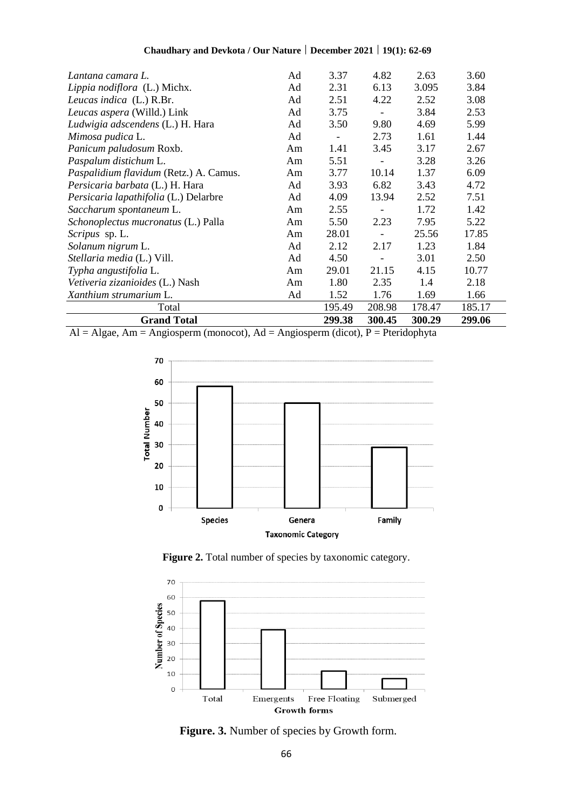| Chaudhary and Devkota / Our Nature   December 2021   19(1): 62-69 |  |  |
|-------------------------------------------------------------------|--|--|
|-------------------------------------------------------------------|--|--|

| Lantana camara L.                      | Ad | 3.37           | 4.82                     | 2.63   | 3.60   |
|----------------------------------------|----|----------------|--------------------------|--------|--------|
| Lippia nodiflora (L.) Michx.           | Ad | 2.31           | 6.13                     | 3.095  | 3.84   |
| Leucas indica (L.) R.Br.               | Ad | 2.51           | 4.22                     | 2.52   | 3.08   |
| Leucas aspera (Willd.) Link            | Ad | 3.75           | $\overline{\phantom{a}}$ | 3.84   | 2.53   |
| Ludwigia adscendens (L.) H. Hara       | Ad | 3.50           | 9.80                     | 4.69   | 5.99   |
| Mimosa pudica L.                       | Ad | $\blacksquare$ | 2.73                     | 1.61   | 1.44   |
| Panicum paludosum Roxb.                | Am | 1.41           | 3.45                     | 3.17   | 2.67   |
| Paspalum distichum L.                  | Am | 5.51           |                          | 3.28   | 3.26   |
| Paspalidium flavidum (Retz.) A. Camus. | Am | 3.77           | 10.14                    | 1.37   | 6.09   |
| Persicaria barbata (L.) H. Hara        | Ad | 3.93           | 6.82                     | 3.43   | 4.72   |
| Persicaria lapathifolia (L.) Delarbre  | Ad | 4.09           | 13.94                    | 2.52   | 7.51   |
| Saccharum spontaneum L.                | Am | 2.55           |                          | 1.72   | 1.42   |
| Schonoplectus mucronatus (L.) Palla    | Am | 5.50           | 2.23                     | 7.95   | 5.22   |
| <i>Scripus</i> sp. L.                  | Am | 28.01          |                          | 25.56  | 17.85  |
| Solanum nigrum L.                      | Ad | 2.12           | 2.17                     | 1.23   | 1.84   |
| Stellaria media (L.) Vill.             | Ad | 4.50           |                          | 3.01   | 2.50   |
| Typha angustifolia L.                  | Am | 29.01          | 21.15                    | 4.15   | 10.77  |
| Vetiveria zizanioides (L.) Nash        | Am | 1.80           | 2.35                     | 1.4    | 2.18   |
| Xanthium strumarium L.                 | Ad | 1.52           | 1.76                     | 1.69   | 1.66   |
| Total                                  |    | 195.49         | 208.98                   | 178.47 | 185.17 |
| <b>Grand Total</b>                     |    | 299.38         | 300.45                   | 300.29 | 299.06 |

 $Al = Algae$ , Am = Angiosperm (monocot), Ad = Angiosperm (dicot), P = Pteridophyta



Figure 2. Total number of species by taxonomic category.



**Figure. 3.** Number of species by Growth form.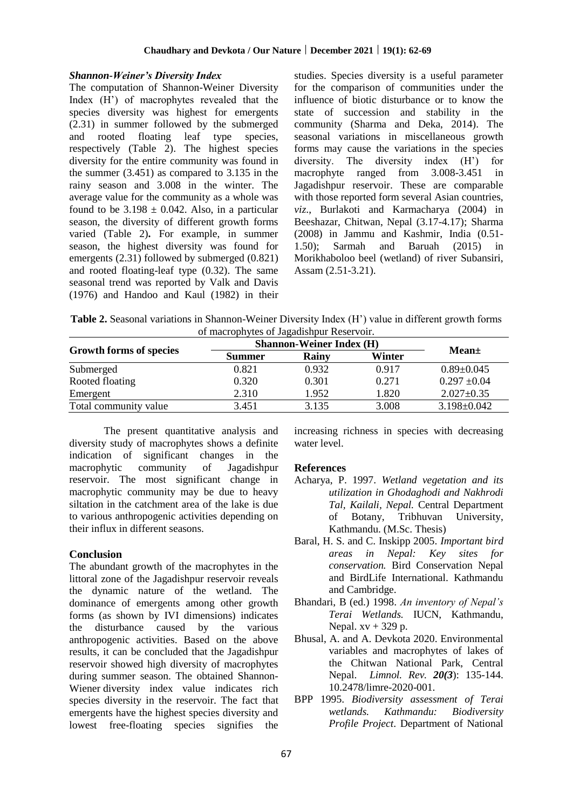## *Shannon-Weiner's Diversity Index*

The computation of Shannon-Weiner Diversity Index (H') of macrophytes revealed that the species diversity was highest for emergents (2.31) in summer followed by the submerged and rooted floating leaf type species, respectively (Table 2). The highest species diversity for the entire community was found in the summer (3.451) as compared to 3.135 in the rainy season and 3.008 in the winter. The average value for the community as a whole was found to be  $3.198 \pm 0.042$ . Also, in a particular season, the diversity of different growth forms varied (Table 2)**.** For example, in summer season, the highest diversity was found for emergents (2.31) followed by submerged (0.821) and rooted floating-leaf type (0.32). The same seasonal trend was reported by Valk and Davis (1976) and Handoo and Kaul (1982) in their studies. Species diversity is a useful parameter for the comparison of communities under the influence of biotic disturbance or to know the state of succession and stability in the community (Sharma and Deka, 2014). The seasonal variations in miscellaneous growth forms may cause the variations in the species diversity. The diversity index (H') for macrophyte ranged from 3.008-3.451 in Jagadishpur reservoir. These are comparable with those reported form several Asian countries. *viz*., Burlakoti and Karmacharya (2004) in Beeshazar, Chitwan, Nepal (3.17-4.17); Sharma (2008) in Jammu and Kashmir, India (0.51- 1.50); Sarmah and Baruah (2015) in Morikhaboloo beel (wetland) of river Subansiri, Assam (2.51-3.21).

**Table 2.** Seasonal variations in Shannon-Weiner Diversity Index (H') value in different growth forms of macrophytes of Jagadishpur Reservoir.

|                         | <b>Shannon-Weiner Index (H)</b> |       |        |                   |
|-------------------------|---------------------------------|-------|--------|-------------------|
| Growth forms of species | Summer                          | Rainy | Winter | Mean±             |
| Submerged               | 0.821                           | 0.932 | 0.917  | $0.89 \pm 0.045$  |
| Rooted floating         | 0.320                           | 0.301 | 0.271  | $0.297 \pm 0.04$  |
| Emergent                | 2.310                           | 1.952 | 1.820  | $2.027 \pm 0.35$  |
| Total community value   | 3.451                           | 3.135 | 3.008  | $3.198 \pm 0.042$ |

The present quantitative analysis and diversity study of macrophytes shows a definite indication of significant changes in the macrophytic community of Jagadishpur reservoir. The most significant change in macrophytic community may be due to heavy siltation in the catchment area of the lake is due to various anthropogenic activities depending on their influx in different seasons.

# **Conclusion**

The abundant growth of the macrophytes in the littoral zone of the Jagadishpur reservoir reveals the dynamic nature of the wetland. The dominance of emergents among other growth forms (as shown by IVI dimensions) indicates the disturbance caused by the various anthropogenic activities. Based on the above results, it can be concluded that the Jagadishpur reservoir showed high diversity of macrophytes during summer season. The obtained Shannon-Wiener diversity index value indicates rich species diversity in the reservoir. The fact that emergents have the highest species diversity and lowest free-floating species signifies the

increasing richness in species with decreasing water level.

# **References**

- Acharya, P. 1997. *Wetland vegetation and its utilization in Ghodaghodi and Nakhrodi Tal, Kailali, Nepal.* Central Department of Botany, Tribhuvan University, Kathmandu. (M.Sc. Thesis)
- Baral, H. S. and C. Inskipp 2005. *Important bird areas in Nepal: Key sites for conservation.* Bird Conservation Nepal and BirdLife International. Kathmandu and Cambridge.
- Bhandari, B (ed.) 1998. *An inventory of Nepal's Terai Wetlands.* IUCN, Kathmandu, Nepal.  $xy + 329$  p.
- Bhusal, A. and A. Devkota 2020. Environmental variables and macrophytes of lakes of the Chitwan National Park, Central Nepal. *Limnol. Rev. 20(3*): 135-144. 10.2478/limre-2020-001.
- BPP 1995. *Biodiversity assessment of Terai wetlands. Kathmandu: Biodiversity Profile Project*. Department of National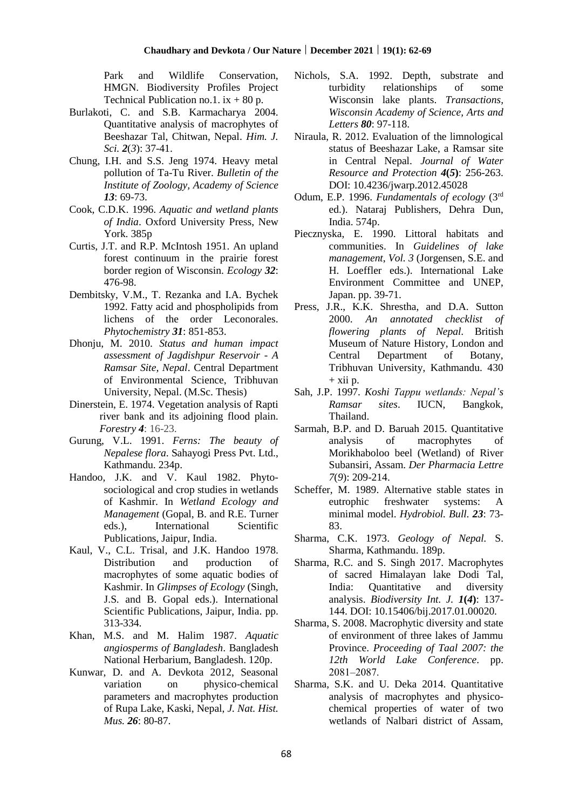Park and Wildlife Conservation, HMGN. Biodiversity Profiles Project Technical Publication no.1.  $ix + 80 p$ .

- Burlakoti, C. and S.B. Karmacharya 2004. Quantitative analysis of macrophytes of Beeshazar Tal, Chitwan, Nepal. *Him. J. Sci. 2*(*3*): 37-41.
- Chung, I.H. and S.S. Jeng 1974. Heavy metal pollution of Ta-Tu River. *Bulletin of the Institute of Zoology, Academy of Science 13*: 69-73.
- Cook, C.D.K. 1996. *Aquatic and wetland plants of India*. Oxford University Press, New York. 385p
- Curtis, J.T. and R.P. McIntosh 1951. An upland forest continuum in the prairie forest border region of Wisconsin. *Ecology 32*: 476-98.
- Dembitsky, V.M., T. Rezanka and I.A. Bychek 1992. Fatty acid and phospholipids from lichens of the order Leconorales. *Phytochemistry 31*: 851-853.
- Dhonju, M. 2010. *Status and human impact assessment of Jagdishpur Reservoir - A Ramsar Site, Nepal*. Central Department of Environmental Science, Tribhuvan University, Nepal. (M.Sc. Thesis)
- Dinerstein, E. 1974. Vegetation analysis of Rapti river bank and its adjoining flood plain. *Forestry 4*: 16-23.
- Gurung, V.L. 1991. *Ferns: The beauty of Nepalese flora*. Sahayogi Press Pvt. Ltd., Kathmandu. 234p.
- Handoo, J.K. and V. Kaul 1982. Phytosociological and crop studies in wetlands of Kashmir. In *Wetland Ecology and Management* (Gopal, B. and R.E. Turner eds.), International Scientific Publications, Jaipur, India.
- Kaul, V., C.L. Trisal, and J.K. Handoo 1978. Distribution and production of macrophytes of some aquatic bodies of Kashmir. In *Glimpses of Ecology* (Singh, J.S. and B. Gopal eds.). International Scientific Publications, Jaipur, India. pp. 313-334.
- Khan, M.S. and M. Halim 1987. *Aquatic angiosperms of Bangladesh*. Bangladesh National Herbarium, Bangladesh. 120p.
- Kunwar, D. and A. Devkota 2012, Seasonal variation on physico-chemical parameters and macrophytes production of Rupa Lake, Kaski, Nepal, *J. Nat. Hist. Mus. 26*: 80-87.
- Nichols, S.A. 1992. Depth, substrate and turbidity relationships of some Wisconsin lake plants. *Transactions, Wisconsin Academy of Science, Arts and Letters 80*: 97-118.
- Niraula, R. 2012. Evaluation of the limnological status of Beeshazar Lake, a Ramsar site in Central Nepal. *Journal of Water Resource and Protection 4***(***5***)**: 256-263. [DOI: 10.4236/jwarp.2012.45028](http://www.scirp.org/journal/PaperInformation.aspx?PaperID=19465)
- Odum, E.P. 1996. *Fundamentals of ecology* (3rd ed.). Nataraj Publishers, Dehra Dun, India. 574p.
- Piecznyska, E. 1990. Littoral habitats and communities. In *Guidelines of lake management*, *Vol. 3* (Jorgensen, S.E. and H. Loeffler eds.). International Lake Environment Committee and UNEP, Japan. pp. 39-71.
- Press, J.R., K.K. Shrestha, and D.A. Sutton 2000. *An annotated checklist of flowering plants of Nepal.* British Museum of Nature History, London and Central Department of Botany, Tribhuvan University, Kathmandu. 430  $+$  xii p.
- Sah, J.P. 1997. *Koshi Tappu wetlands: Nepal's Ramsar sites*. IUCN, Bangkok, Thailand.
- Sarmah, B.P. and D. Baruah 2015. Quantitative analysis of macrophytes of Morikhaboloo beel (Wetland) of River Subansiri, Assam. *Der Pharmacia Lettre 7*(*9*): 209-214.
- Scheffer, M. 1989. Alternative stable states in eutrophic freshwater systems: A minimal model. *Hydrobiol. Bull. 23*: 73- 83.
- Sharma, C.K. 1973. *Geology of Nepal.* S. Sharma, Kathmandu. 189p.
- Sharma, R.C. and S. Singh 2017. Macrophytes of sacred Himalayan lake Dodi Tal, India: Quantitative and diversity analysis. *Biodiversity Int. J. 1***(***4***)**: 137- 144. DOI: 10.15406/bij.2017.01.00020.
- Sharma, S. 2008. Macrophytic diversity and state of environment of three lakes of Jammu Province. *Proceeding of Taal 2007: the 12th World Lake Conference*. pp. 2081‒2087.
- Sharma, S.K. and U. Deka 2014. Quantitative analysis of macrophytes and physicochemical properties of water of two wetlands of Nalbari district of Assam,